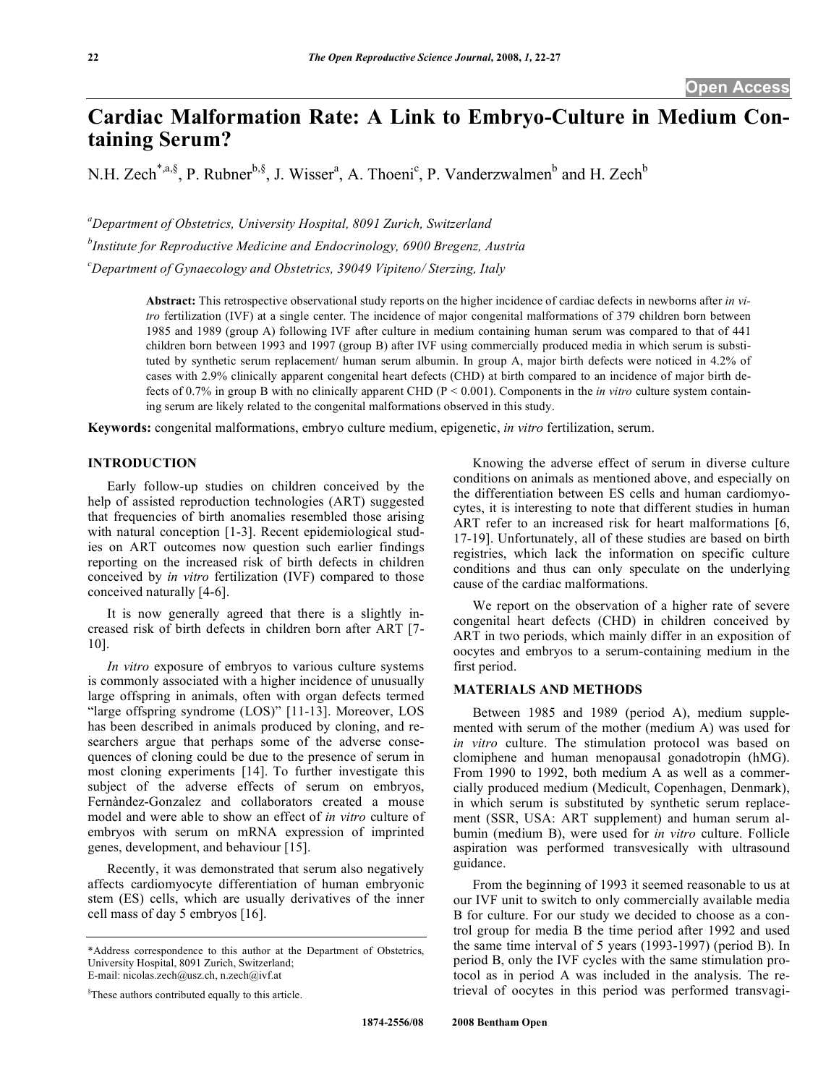# **Cardiac Malformation Rate: A Link to Embryo-Culture in Medium Containing Serum?**

N.H. Zech<sup>\*,a,§</sup>, P. Rubner<sup>b,§</sup>, J. Wisser<sup>a</sup>, A. Thoeni<sup>c</sup>, P. Vanderzwalmen<sup>b</sup> and H. Zech<sup>b</sup>

*a Department of Obstetrics, University Hospital, 8091 Zurich, Switzerland* 

*b Institute for Reproductive Medicine and Endocrinology, 6900 Bregenz, Austria* 

*c Department of Gynaecology and Obstetrics, 39049 Vipiteno/ Sterzing, Italy* 

**Abstract:** This retrospective observational study reports on the higher incidence of cardiac defects in newborns after *in vitro* fertilization (IVF) at a single center. The incidence of major congenital malformations of 379 children born between 1985 and 1989 (group A) following IVF after culture in medium containing human serum was compared to that of 441 children born between 1993 and 1997 (group B) after IVF using commercially produced media in which serum is substituted by synthetic serum replacement/ human serum albumin. In group A, major birth defects were noticed in 4.2% of cases with 2.9% clinically apparent congenital heart defects (CHD) at birth compared to an incidence of major birth defects of 0.7% in group B with no clinically apparent CHD (P < 0.001). Components in the *in vitro* culture system containing serum are likely related to the congenital malformations observed in this study.

**Keywords:** congenital malformations, embryo culture medium, epigenetic, *in vitro* fertilization, serum.

## **INTRODUCTION**

 Early follow-up studies on children conceived by the help of assisted reproduction technologies (ART) suggested that frequencies of birth anomalies resembled those arising with natural conception [1-3]. Recent epidemiological studies on ART outcomes now question such earlier findings reporting on the increased risk of birth defects in children conceived by *in vitro* fertilization (IVF) compared to those conceived naturally [4-6].

 It is now generally agreed that there is a slightly increased risk of birth defects in children born after ART [7- 10].

 *In vitro* exposure of embryos to various culture systems is commonly associated with a higher incidence of unusually large offspring in animals, often with organ defects termed "large offspring syndrome (LOS)" [11-13]. Moreover, LOS has been described in animals produced by cloning, and researchers argue that perhaps some of the adverse consequences of cloning could be due to the presence of serum in most cloning experiments [14]. To further investigate this subject of the adverse effects of serum on embryos, Fernàndez-Gonzalez and collaborators created a mouse model and were able to show an effect of *in vitro* culture of embryos with serum on mRNA expression of imprinted genes, development, and behaviour [15].

 Recently, it was demonstrated that serum also negatively affects cardiomyocyte differentiation of human embryonic stem (ES) cells, which are usually derivatives of the inner cell mass of day 5 embryos [16].

 Knowing the adverse effect of serum in diverse culture conditions on animals as mentioned above, and especially on the differentiation between ES cells and human cardiomyocytes, it is interesting to note that different studies in human ART refer to an increased risk for heart malformations [6, 17-19]. Unfortunately, all of these studies are based on birth registries, which lack the information on specific culture conditions and thus can only speculate on the underlying cause of the cardiac malformations.

 We report on the observation of a higher rate of severe congenital heart defects (CHD) in children conceived by ART in two periods, which mainly differ in an exposition of oocytes and embryos to a serum-containing medium in the first period.

# **MATERIALS AND METHODS**

 Between 1985 and 1989 (period A), medium supplemented with serum of the mother (medium A) was used for *in vitro* culture. The stimulation protocol was based on clomiphene and human menopausal gonadotropin (hMG). From 1990 to 1992, both medium A as well as a commercially produced medium (Medicult, Copenhagen, Denmark), in which serum is substituted by synthetic serum replacement (SSR, USA: ART supplement) and human serum albumin (medium B), were used for *in vitro* culture. Follicle aspiration was performed transvesically with ultrasound guidance.

 From the beginning of 1993 it seemed reasonable to us at our IVF unit to switch to only commercially available media B for culture. For our study we decided to choose as a control group for media B the time period after 1992 and used the same time interval of 5 years (1993-1997) (period B). In period B, only the IVF cycles with the same stimulation protocol as in period A was included in the analysis. The retrieval of oocytes in this period was performed transvagi-

<sup>\*</sup>Address correspondence to this author at the Department of Obstetrics, University Hospital, 8091 Zurich, Switzerland; E-mail: nicolas.zech@usz.ch, n.zech@ivf.at

<sup>§</sup> These authors contributed equally to this article.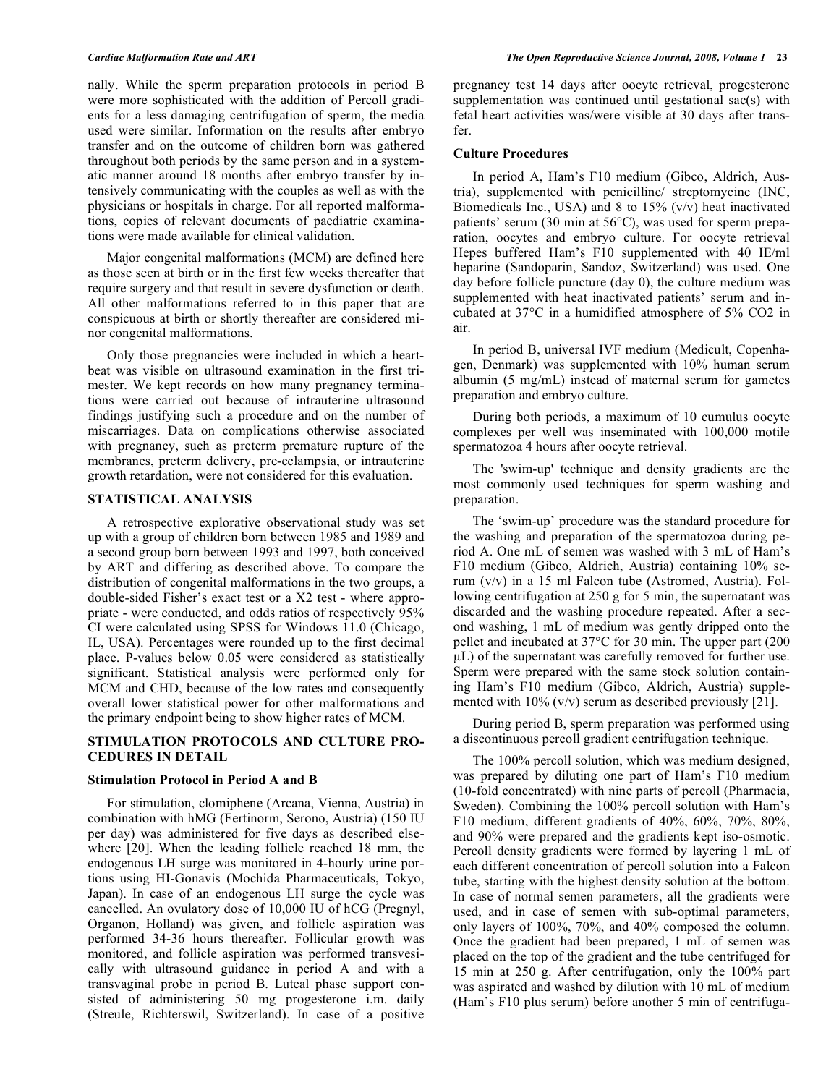nally. While the sperm preparation protocols in period B were more sophisticated with the addition of Percoll gradients for a less damaging centrifugation of sperm, the media used were similar. Information on the results after embryo transfer and on the outcome of children born was gathered throughout both periods by the same person and in a systematic manner around 18 months after embryo transfer by intensively communicating with the couples as well as with the physicians or hospitals in charge. For all reported malformations, copies of relevant documents of paediatric examinations were made available for clinical validation.

 Major congenital malformations (MCM) are defined here as those seen at birth or in the first few weeks thereafter that require surgery and that result in severe dysfunction or death. All other malformations referred to in this paper that are conspicuous at birth or shortly thereafter are considered minor congenital malformations.

 Only those pregnancies were included in which a heartbeat was visible on ultrasound examination in the first trimester. We kept records on how many pregnancy terminations were carried out because of intrauterine ultrasound findings justifying such a procedure and on the number of miscarriages. Data on complications otherwise associated with pregnancy, such as preterm premature rupture of the membranes, preterm delivery, pre-eclampsia, or intrauterine growth retardation, were not considered for this evaluation.

### **STATISTICAL ANALYSIS**

 A retrospective explorative observational study was set up with a group of children born between 1985 and 1989 and a second group born between 1993 and 1997, both conceived by ART and differing as described above. To compare the distribution of congenital malformations in the two groups, a double-sided Fisher's exact test or a X2 test - where appropriate - were conducted, and odds ratios of respectively 95% CI were calculated using SPSS for Windows 11.0 (Chicago, IL, USA). Percentages were rounded up to the first decimal place. P-values below 0.05 were considered as statistically significant. Statistical analysis were performed only for MCM and CHD, because of the low rates and consequently overall lower statistical power for other malformations and the primary endpoint being to show higher rates of MCM.

# **STIMULATION PROTOCOLS AND CULTURE PRO-CEDURES IN DETAIL**

#### **Stimulation Protocol in Period A and B**

 For stimulation, clomiphene (Arcana, Vienna, Austria) in combination with hMG (Fertinorm, Serono, Austria) (150 IU per day) was administered for five days as described elsewhere [20]. When the leading follicle reached 18 mm, the endogenous LH surge was monitored in 4-hourly urine portions using HI-Gonavis (Mochida Pharmaceuticals, Tokyo, Japan). In case of an endogenous LH surge the cycle was cancelled. An ovulatory dose of 10,000 IU of hCG (Pregnyl, Organon, Holland) was given, and follicle aspiration was performed 34-36 hours thereafter. Follicular growth was monitored, and follicle aspiration was performed transvesically with ultrasound guidance in period A and with a transvaginal probe in period B. Luteal phase support consisted of administering 50 mg progesterone i.m. daily (Streule, Richterswil, Switzerland). In case of a positive

pregnancy test 14 days after oocyte retrieval, progesterone supplementation was continued until gestational sac(s) with fetal heart activities was/were visible at 30 days after transfer.

### **Culture Procedures**

 In period A, Ham's F10 medium (Gibco, Aldrich, Austria), supplemented with penicilline/ streptomycine (INC, Biomedicals Inc., USA) and 8 to 15% (v/v) heat inactivated patients' serum (30 min at 56°C), was used for sperm preparation, oocytes and embryo culture. For oocyte retrieval Hepes buffered Ham's F10 supplemented with 40 IE/ml heparine (Sandoparin, Sandoz, Switzerland) was used. One day before follicle puncture (day 0), the culture medium was supplemented with heat inactivated patients' serum and incubated at 37°C in a humidified atmosphere of 5% CO2 in air.

 In period B, universal IVF medium (Medicult, Copenhagen, Denmark) was supplemented with 10% human serum albumin (5 mg/mL) instead of maternal serum for gametes preparation and embryo culture.

 During both periods, a maximum of 10 cumulus oocyte complexes per well was inseminated with 100,000 motile spermatozoa 4 hours after oocyte retrieval.

 The 'swim-up' technique and density gradients are the most commonly used techniques for sperm washing and preparation.

 The 'swim-up' procedure was the standard procedure for the washing and preparation of the spermatozoa during period A. One mL of semen was washed with 3 mL of Ham's F10 medium (Gibco, Aldrich, Austria) containing 10% serum (v/v) in a 15 ml Falcon tube (Astromed, Austria). Following centrifugation at 250 g for 5 min, the supernatant was discarded and the washing procedure repeated. After a second washing, 1 mL of medium was gently dripped onto the pellet and incubated at 37°C for 30 min. The upper part (200  $\mu$ L) of the supernatant was carefully removed for further use. Sperm were prepared with the same stock solution containing Ham's F10 medium (Gibco, Aldrich, Austria) supplemented with  $10\%$  (v/v) serum as described previously [21].

 During period B, sperm preparation was performed using a discontinuous percoll gradient centrifugation technique.

 The 100% percoll solution, which was medium designed, was prepared by diluting one part of Ham's F10 medium (10-fold concentrated) with nine parts of percoll (Pharmacia, Sweden). Combining the 100% percoll solution with Ham's F10 medium, different gradients of 40%, 60%, 70%, 80%, and 90% were prepared and the gradients kept iso-osmotic. Percoll density gradients were formed by layering 1 mL of each different concentration of percoll solution into a Falcon tube, starting with the highest density solution at the bottom. In case of normal semen parameters, all the gradients were used, and in case of semen with sub-optimal parameters, only layers of 100%, 70%, and 40% composed the column. Once the gradient had been prepared, 1 mL of semen was placed on the top of the gradient and the tube centrifuged for 15 min at 250 g. After centrifugation, only the 100% part was aspirated and washed by dilution with 10 mL of medium (Ham's F10 plus serum) before another 5 min of centrifuga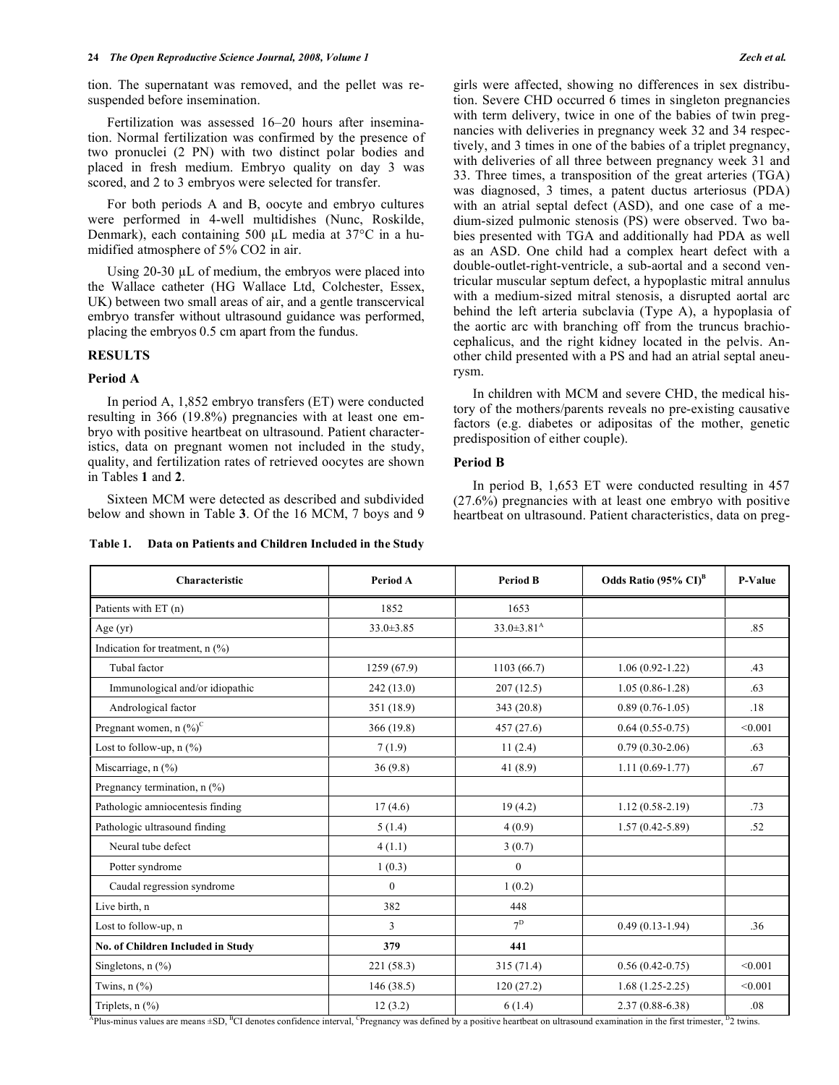tion. The supernatant was removed, and the pellet was resuspended before insemination.

 Fertilization was assessed 16–20 hours after insemination. Normal fertilization was confirmed by the presence of two pronuclei (2 PN) with two distinct polar bodies and placed in fresh medium. Embryo quality on day 3 was scored, and 2 to 3 embryos were selected for transfer.

 For both periods A and B, oocyte and embryo cultures were performed in 4-well multidishes (Nunc, Roskilde, Denmark), each containing 500  $\mu$ L media at 37°C in a humidified atmosphere of 5% CO2 in air.

Using  $20-30$   $\mu$ L of medium, the embryos were placed into the Wallace catheter (HG Wallace Ltd, Colchester, Essex, UK) between two small areas of air, and a gentle transcervical embryo transfer without ultrasound guidance was performed, placing the embryos 0.5 cm apart from the fundus.

# **RESULTS**

#### **Period A**

 In period A, 1,852 embryo transfers (ET) were conducted resulting in 366 (19.8%) pregnancies with at least one embryo with positive heartbeat on ultrasound. Patient characteristics, data on pregnant women not included in the study, quality, and fertilization rates of retrieved oocytes are shown in Tables **1** and **2**.

 Sixteen MCM were detected as described and subdivided below and shown in Table **3**. Of the 16 MCM, 7 boys and 9

**Table 1. Data on Patients and Children Included in the Study** 

girls were affected, showing no differences in sex distribution. Severe CHD occurred 6 times in singleton pregnancies with term delivery, twice in one of the babies of twin pregnancies with deliveries in pregnancy week 32 and 34 respectively, and 3 times in one of the babies of a triplet pregnancy, with deliveries of all three between pregnancy week 31 and 33. Three times, a transposition of the great arteries (TGA) was diagnosed, 3 times, a patent ductus arteriosus (PDA) with an atrial septal defect (ASD), and one case of a medium-sized pulmonic stenosis (PS) were observed. Two babies presented with TGA and additionally had PDA as well as an ASD. One child had a complex heart defect with a double-outlet-right-ventricle, a sub-aortal and a second ventricular muscular septum defect, a hypoplastic mitral annulus with a medium-sized mitral stenosis, a disrupted aortal arc behind the left arteria subclavia (Type A), a hypoplasia of the aortic arc with branching off from the truncus brachiocephalicus, and the right kidney located in the pelvis. Another child presented with a PS and had an atrial septal aneurysm.

 In children with MCM and severe CHD, the medical history of the mothers/parents reveals no pre-existing causative factors (e.g. diabetes or adipositas of the mother, genetic predisposition of either couple).

#### **Period B**

 In period B, 1,653 ET were conducted resulting in 457 (27.6%) pregnancies with at least one embryo with positive heartbeat on ultrasound. Patient characteristics, data on preg-

| Characteristic                                           | Period A        | <b>Period B</b>              | Odds Ratio $(95\% \text{ CI})^B$ | P-Value |
|----------------------------------------------------------|-----------------|------------------------------|----------------------------------|---------|
| Patients with ET (n)                                     | 1852            | 1653                         |                                  |         |
| Age $(yr)$                                               | $33.0 \pm 3.85$ | $33.0 \pm 3.81$ <sup>A</sup> |                                  | .85     |
| Indication for treatment, $n$ $\left(\frac{9}{6}\right)$ |                 |                              |                                  |         |
| Tubal factor                                             | 1259 (67.9)     | 1103(66.7)                   | $1.06(0.92 - 1.22)$              | .43     |
| Immunological and/or idiopathic                          | 242(13.0)       | 207(12.5)                    | $1.05(0.86 - 1.28)$              | .63     |
| Andrological factor                                      | 351 (18.9)      | 343(20.8)                    | $0.89(0.76 - 1.05)$              | .18     |
| Pregnant women, n $(\%)^C$                               | 366(19.8)       | 457(27.6)                    | $0.64(0.55-0.75)$                | < 0.001 |
| Lost to follow-up, $n$ $(\%)$                            | 7(1.9)          | 11(2.4)                      | $0.79(0.30-2.06)$                | .63     |
| Miscarriage, n (%)                                       | 36(9.8)         | 41 $(8.9)$                   | $1.11(0.69-1.77)$                | .67     |
| Pregnancy termination, $n$ (%)                           |                 |                              |                                  |         |
| Pathologic amniocentesis finding                         | 17(4.6)         | 19(4.2)                      | $1.12(0.58-2.19)$                | .73     |
| Pathologic ultrasound finding                            | 5(1.4)          | 4(0.9)                       | $1.57(0.42 - 5.89)$              | .52     |
| Neural tube defect                                       | 4(1.1)          | 3(0.7)                       |                                  |         |
| Potter syndrome                                          | 1(0.3)          | $\theta$                     |                                  |         |
| Caudal regression syndrome                               | $\mathbf{0}$    | 1(0.2)                       |                                  |         |
| Live birth, n                                            | 382             | 448                          |                                  |         |
| Lost to follow-up, n                                     | 3               | 7 <sup>D</sup>               | $0.49(0.13-1.94)$                | 36      |
| No. of Children Included in Study                        | 379             | 441                          |                                  |         |
| Singletons, $n$ $\frac{6}{6}$                            | 221(58.3)       | 315(71.4)                    | $0.56(0.42-0.75)$                | < 0.001 |
| Twins, $n$ $(\%)$                                        | 146(38.5)       | 120(27.2)                    | $1.68(1.25-2.25)$                | < 0.001 |
| Triplets, $n$ (%)                                        | 12(3.2)         | 6(1.4)                       | $2.37(0.88 - 6.38)$              | .08     |

 ${}^{\text{A}}$ Plus-minus values are means  $\pm$ SD, <sup>B</sup>CI denotes confidence interval, <sup>C</sup>Pregnancy was defined by a positive heartbeat on ultrasound examination in the first trimester, <sup>D</sup>2 twins.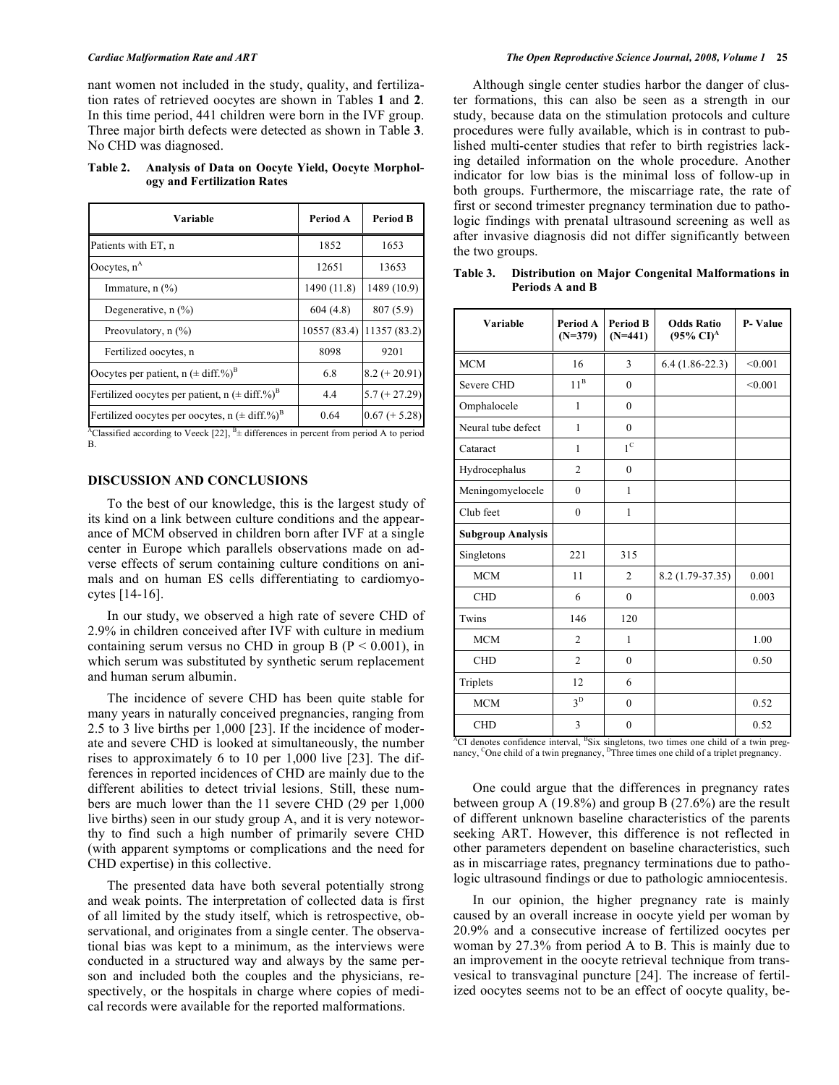nant women not included in the study, quality, and fertilization rates of retrieved oocytes are shown in Tables **1** and **2**. In this time period, 441 children were born in the IVF group. Three major birth defects were detected as shown in Table **3**. No CHD was diagnosed.

## **Table 2. Analysis of Data on Oocyte Yield, Oocyte Morphology and Fertilization Rates**

| Variable                                                                                                                                                                                                                                                       | Period A     | <b>Period B</b> |
|----------------------------------------------------------------------------------------------------------------------------------------------------------------------------------------------------------------------------------------------------------------|--------------|-----------------|
| Patients with ET, n                                                                                                                                                                                                                                            | 1852         | 1653            |
| Oocytes, $n^A$                                                                                                                                                                                                                                                 | 12651        | 13653           |
| Immature, $n$ $\left(\frac{9}{6}\right)$                                                                                                                                                                                                                       | 1490 (11.8)  | 1489 (10.9)     |
| Degenerative, n (%)                                                                                                                                                                                                                                            | 604(4.8)     | 807 (5.9)       |
| Preovulatory, $n$ (%)                                                                                                                                                                                                                                          | 10557 (83.4) | 11357 (83.2)    |
| Fertilized oocytes, n                                                                                                                                                                                                                                          | 8098         | 9201            |
| Oocytes per patient, $n (= diff. %)^B$                                                                                                                                                                                                                         | 6.8          | $8.2 (+ 20.91)$ |
| Fertilized oocytes per patient, $n (\pm \text{diff.}\%)^B$                                                                                                                                                                                                     | 4.4          | $5.7 (+ 27.29)$ |
| Fertilized oocytes per oocytes, $n (\pm \text{diff.}\%)^B$                                                                                                                                                                                                     | 0.64         | $0.67 (+ 5.28)$ |
| $^{10}$ $^{10}$ $^{11}$ $^{11}$ $^{11}$ $^{11}$ $^{11}$ $^{11}$ $^{11}$ $^{11}$ $^{11}$ $^{11}$ $^{11}$ $^{11}$ $^{11}$ $^{11}$ $^{11}$ $^{11}$ $^{11}$ $^{11}$ $^{11}$ $^{11}$ $^{11}$ $^{11}$ $^{11}$ $^{11}$ $^{11}$ $^{11}$ $^{11}$ $^{11}$ $^{11}$ $^{11$ |              |                 |

<sup>A</sup>Classified according to Veeck  $[22]$ ,  $^{B}_{\pm}$  differences in percent from period A to period B.

# **DISCUSSION AND CONCLUSIONS**

 To the best of our knowledge, this is the largest study of its kind on a link between culture conditions and the appearance of MCM observed in children born after IVF at a single center in Europe which parallels observations made on adverse effects of serum containing culture conditions on animals and on human ES cells differentiating to cardiomyocytes [14-16].

 In our study, we observed a high rate of severe CHD of 2.9% in children conceived after IVF with culture in medium containing serum versus no CHD in group B ( $P < 0.001$ ), in which serum was substituted by synthetic serum replacement and human serum albumin.

 The incidence of severe CHD has been quite stable for many years in naturally conceived pregnancies, ranging from 2.5 to 3 live births per 1,000 [23]. If the incidence of moderate and severe CHD is looked at simultaneously, the number rises to approximately 6 to 10 per 1,000 live [23]. The differences in reported incidences of CHD are mainly due to the different abilities to detect trivial lesions. Still, these numbers are much lower than the 11 severe CHD (29 per 1,000 live births) seen in our study group A, and it is very noteworthy to find such a high number of primarily severe CHD (with apparent symptoms or complications and the need for CHD expertise) in this collective.

 The presented data have both several potentially strong and weak points. The interpretation of collected data is first of all limited by the study itself, which is retrospective, observational, and originates from a single center. The observational bias was kept to a minimum, as the interviews were conducted in a structured way and always by the same person and included both the couples and the physicians, respectively, or the hospitals in charge where copies of medical records were available for the reported malformations.

 Although single center studies harbor the danger of cluster formations, this can also be seen as a strength in our study, because data on the stimulation protocols and culture procedures were fully available, which is in contrast to published multi-center studies that refer to birth registries lacking detailed information on the whole procedure. Another indicator for low bias is the minimal loss of follow-up in both groups. Furthermore, the miscarriage rate, the rate of first or second trimester pregnancy termination due to pathologic findings with prenatal ultrasound screening as well as after invasive diagnosis did not differ significantly between the two groups.

**Table 3. Distribution on Major Congenital Malformations in Periods A and B** 

| Variable                 | Period A<br>$(N=379)$ | <b>Period B</b><br>$(N=441)$ | <b>Odds Ratio</b><br>$(95\% \text{ C}I)^{A}$ | P-Value |
|--------------------------|-----------------------|------------------------------|----------------------------------------------|---------|
| <b>MCM</b>               | 16                    | 3                            | $6.4(1.86-22.3)$                             | < 0.001 |
| Severe CHD               | $11^B$                | $\mathbf{0}$                 |                                              | < 0.001 |
| Omphalocele              | 1                     | $\theta$                     |                                              |         |
| Neural tube defect       | 1                     | $\theta$                     |                                              |         |
| Cataract                 | 1                     | $1^{\circ}$                  |                                              |         |
| Hydrocephalus            | $\overline{2}$        | $\theta$                     |                                              |         |
| Meningomyelocele         | $\mathbf{0}$          | 1                            |                                              |         |
| Club feet                | $\mathbf{0}$          | 1                            |                                              |         |
| <b>Subgroup Analysis</b> |                       |                              |                                              |         |
| Singletons               | 221                   | 315                          |                                              |         |
| <b>MCM</b>               | 11                    | $\overline{2}$               | 8.2 (1.79-37.35)                             | 0.001   |
| <b>CHD</b>               | 6                     | $\theta$                     |                                              | 0.003   |
| Twins                    | 146                   | 120                          |                                              |         |
| <b>MCM</b>               | $\overline{2}$        | 1                            |                                              | 1.00    |
| <b>CHD</b>               | $\overline{c}$        | $\mathbf{0}$                 |                                              | 0.50    |
| Triplets                 | 12                    | 6                            |                                              |         |
| <b>MCM</b>               | $3^D$                 | $\theta$                     |                                              | 0.52    |
| <b>CHD</b>               | 3                     | $\mathbf{0}$                 |                                              | 0.52    |

<sup>A</sup>CI denotes confidence interval, <sup>B</sup>Six singletons, two times one child of a twin pregnancy, <sup>C</sup>One child of a twin pregnancy, <sup>D</sup>Three times one child of a triplet pregnancy.

 One could argue that the differences in pregnancy rates between group A (19.8%) and group B (27.6%) are the result of different unknown baseline characteristics of the parents seeking ART. However, this difference is not reflected in other parameters dependent on baseline characteristics, such as in miscarriage rates, pregnancy terminations due to pathologic ultrasound findings or due to pathologic amniocentesis.

 In our opinion, the higher pregnancy rate is mainly caused by an overall increase in oocyte yield per woman by 20.9% and a consecutive increase of fertilized oocytes per woman by 27.3% from period A to B. This is mainly due to an improvement in the oocyte retrieval technique from transvesical to transvaginal puncture [24]. The increase of fertilized oocytes seems not to be an effect of oocyte quality, be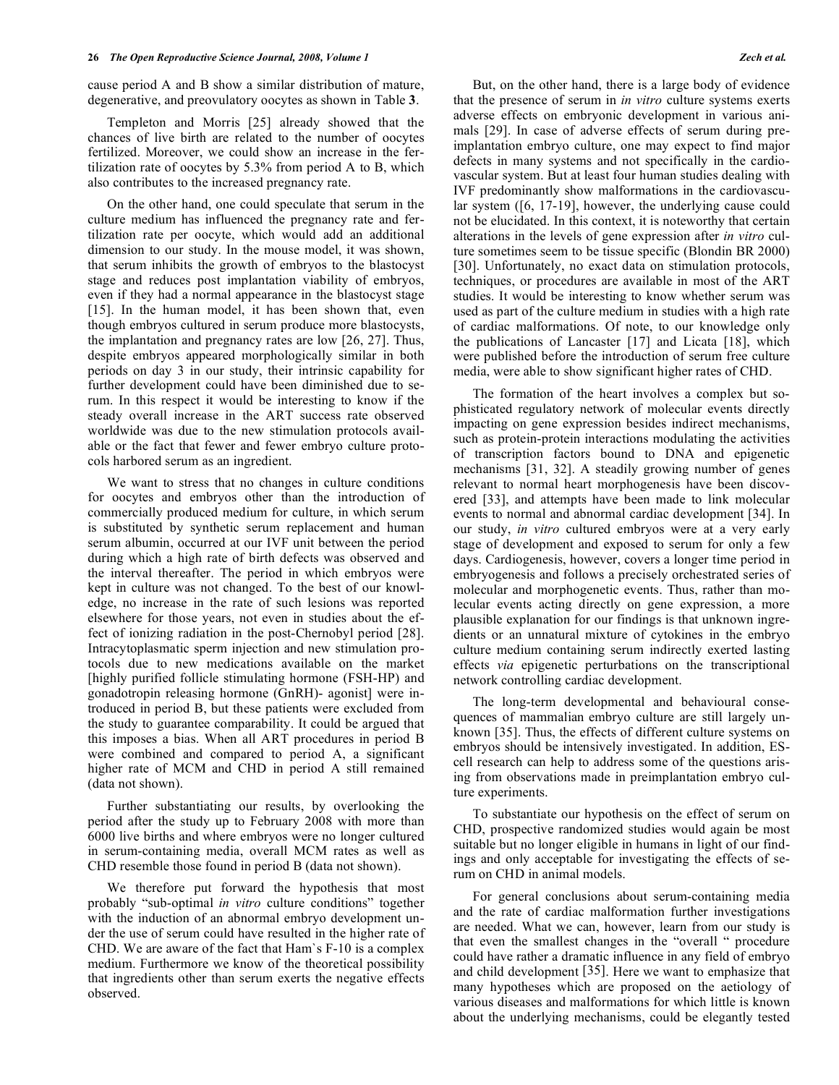cause period A and B show a similar distribution of mature, degenerative, and preovulatory oocytes as shown in Table **3**.

 Templeton and Morris [25] already showed that the chances of live birth are related to the number of oocytes fertilized. Moreover, we could show an increase in the fertilization rate of oocytes by 5.3% from period A to B, which also contributes to the increased pregnancy rate.

 On the other hand, one could speculate that serum in the culture medium has influenced the pregnancy rate and fertilization rate per oocyte, which would add an additional dimension to our study. In the mouse model, it was shown, that serum inhibits the growth of embryos to the blastocyst stage and reduces post implantation viability of embryos, even if they had a normal appearance in the blastocyst stage [15]. In the human model, it has been shown that, even though embryos cultured in serum produce more blastocysts, the implantation and pregnancy rates are low [26, 27]. Thus, despite embryos appeared morphologically similar in both periods on day 3 in our study, their intrinsic capability for further development could have been diminished due to serum. In this respect it would be interesting to know if the steady overall increase in the ART success rate observed worldwide was due to the new stimulation protocols available or the fact that fewer and fewer embryo culture protocols harbored serum as an ingredient.

 We want to stress that no changes in culture conditions for oocytes and embryos other than the introduction of commercially produced medium for culture, in which serum is substituted by synthetic serum replacement and human serum albumin, occurred at our IVF unit between the period during which a high rate of birth defects was observed and the interval thereafter. The period in which embryos were kept in culture was not changed. To the best of our knowledge, no increase in the rate of such lesions was reported elsewhere for those years, not even in studies about the effect of ionizing radiation in the post-Chernobyl period [28]. Intracytoplasmatic sperm injection and new stimulation protocols due to new medications available on the market [highly purified follicle stimulating hormone (FSH-HP) and gonadotropin releasing hormone (GnRH)- agonist] were introduced in period B, but these patients were excluded from the study to guarantee comparability. It could be argued that this imposes a bias. When all ART procedures in period B were combined and compared to period A, a significant higher rate of MCM and CHD in period A still remained (data not shown).

 Further substantiating our results, by overlooking the period after the study up to February 2008 with more than 6000 live births and where embryos were no longer cultured in serum-containing media, overall MCM rates as well as CHD resemble those found in period B (data not shown).

 We therefore put forward the hypothesis that most probably "sub-optimal *in vitro* culture conditions" together with the induction of an abnormal embryo development under the use of serum could have resulted in the higher rate of CHD. We are aware of the fact that Ham`s F-10 is a complex medium. Furthermore we know of the theoretical possibility that ingredients other than serum exerts the negative effects observed.

 But, on the other hand, there is a large body of evidence that the presence of serum in *in vitro* culture systems exerts adverse effects on embryonic development in various animals [29]. In case of adverse effects of serum during preimplantation embryo culture, one may expect to find major defects in many systems and not specifically in the cardiovascular system. But at least four human studies dealing with IVF predominantly show malformations in the cardiovascular system ([6, 17-19], however, the underlying cause could not be elucidated. In this context, it is noteworthy that certain alterations in the levels of gene expression after *in vitro* culture sometimes seem to be tissue specific (Blondin BR 2000) [30]. Unfortunately, no exact data on stimulation protocols, techniques, or procedures are available in most of the ART studies. It would be interesting to know whether serum was used as part of the culture medium in studies with a high rate of cardiac malformations. Of note, to our knowledge only the publications of Lancaster [17] and Licata [18], which were published before the introduction of serum free culture media, were able to show significant higher rates of CHD.

 The formation of the heart involves a complex but sophisticated regulatory network of molecular events directly impacting on gene expression besides indirect mechanisms, such as protein-protein interactions modulating the activities of transcription factors bound to DNA and epigenetic mechanisms [31, 32]. A steadily growing number of genes relevant to normal heart morphogenesis have been discovered [33], and attempts have been made to link molecular events to normal and abnormal cardiac development [34]. In our study, *in vitro* cultured embryos were at a very early stage of development and exposed to serum for only a few days. Cardiogenesis, however, covers a longer time period in embryogenesis and follows a precisely orchestrated series of molecular and morphogenetic events. Thus, rather than molecular events acting directly on gene expression, a more plausible explanation for our findings is that unknown ingredients or an unnatural mixture of cytokines in the embryo culture medium containing serum indirectly exerted lasting effects *via* epigenetic perturbations on the transcriptional network controlling cardiac development.

 The long-term developmental and behavioural consequences of mammalian embryo culture are still largely unknown [35]. Thus, the effects of different culture systems on embryos should be intensively investigated. In addition, EScell research can help to address some of the questions arising from observations made in preimplantation embryo culture experiments.

 To substantiate our hypothesis on the effect of serum on CHD, prospective randomized studies would again be most suitable but no longer eligible in humans in light of our findings and only acceptable for investigating the effects of serum on CHD in animal models.

 For general conclusions about serum-containing media and the rate of cardiac malformation further investigations are needed. What we can, however, learn from our study is that even the smallest changes in the "overall " procedure could have rather a dramatic influence in any field of embryo and child development [35]. Here we want to emphasize that many hypotheses which are proposed on the aetiology of various diseases and malformations for which little is known about the underlying mechanisms, could be elegantly tested